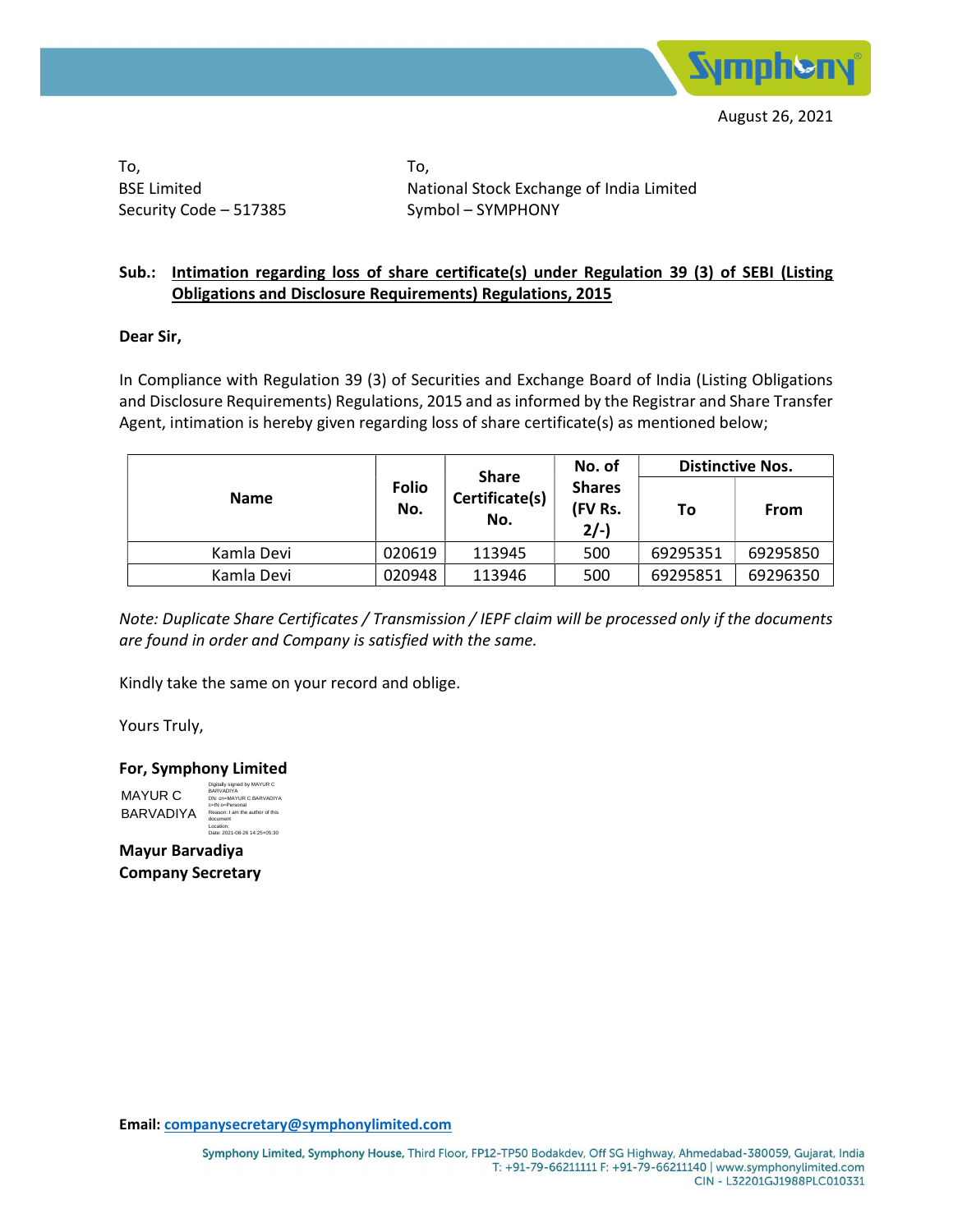

To, BSE Limited Security Code – 517385 To, National Stock Exchange of India Limited Symbol – SYMPHONY

### Sub.: Intimation regarding loss of share certificate(s) under Regulation 39 (3) of SEBI (Listing Obligations and Disclosure Requirements) Regulations, 2015

### Dear Sir,

In Compliance with Regulation 39 (3) of Securities and Exchange Board of India (Listing Obligations and Disclosure Requirements) Regulations, 2015 and as informed by the Registrar and Share Transfer Agent, intimation is hereby given regarding loss of share certificate(s) as mentioned below;

| <b>Name</b> | <b>Folio</b><br>No. | <b>Share</b>          | No. of                              | <b>Distinctive Nos.</b> |          |  |
|-------------|---------------------|-----------------------|-------------------------------------|-------------------------|----------|--|
|             |                     | Certificate(s)<br>No. | <b>Shares</b><br>(FV Rs.<br>$2/-$ ) | То                      | From     |  |
| Kamla Devi  | 020619              | 113945                | 500                                 | 69295351                | 69295850 |  |
| Kamla Devi  | 020948              | 113946                | 500                                 | 69295851                | 69296350 |  |

Note: Duplicate Share Certificates / Transmission / IEPF claim will be processed only if the documents are found in order and Company is satisfied with the same.

Kindly take the same on your record and oblige.

Yours Truly,

For, Symphony Limited

MAYUR C BARVADIYA Digitally signed by MAYUR C BARVADIYA DN: cn=MAYUR C BARVADIYA c=IN o=Personal Reason: I am the author of this document Location: Date: 2021-08-26 14:25+05:30

Mayur Barvadiya Company Secretary

Email: companysecretary@symphonylimited.com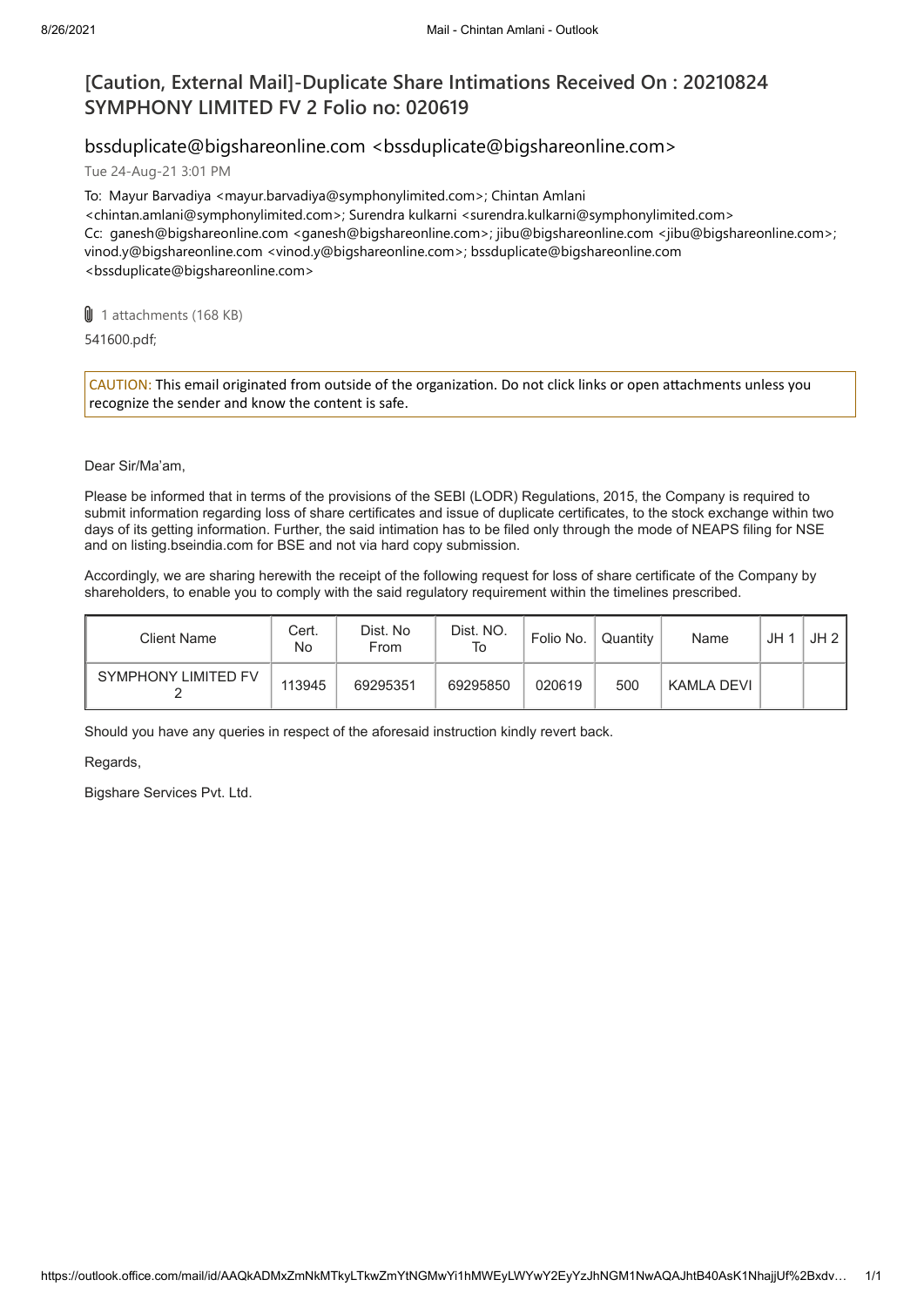# **[Caution, External Mail]-Duplicate Share Intimations Received On : 20210824 SYMPHONY LIMITED FV 2 Folio no: 020619**

## bssduplicate@bigshareonline.com <bssduplicate@bigshareonline.com>

Tue 24-Aug-21 3:01 PM

To: Mayur Barvadiya <mayur.barvadiya@symphonylimited.com>; Chintan Amlani <chintan.amlani@symphonylimited.com>; Surendra kulkarni <surendra.kulkarni@symphonylimited.com> Cc: ganesh@bigshareonline.com <ganesh@bigshareonline.com>; jibu@bigshareonline.com <jibu@bigshareonline.com>; vinod.y@bigshareonline.com <vinod.y@bigshareonline.com>; bssduplicate@bigshareonline.com <bssduplicate@bigshareonline.com>

**U** 1 attachments (168 KB)

541600.pdf;

CAUTION: This email originated from outside of the organization. Do not click links or open attachments unless you recognize the sender and know the content is safe.

#### Dear Sir/Ma'am,

Please be informed that in terms of the provisions of the SEBI (LODR) Regulations, 2015, the Company is required to submit information regarding loss of share certificates and issue of duplicate certificates, to the stock exchange within two days of its getting information. Further, the said intimation has to be filed only through the mode of NEAPS filing for NSE and on listing.bseindia.com for BSE and not via hard copy submission.

Accordingly, we are sharing herewith the receipt of the following request for loss of share certificate of the Company by shareholders, to enable you to comply with the said regulatory requirement within the timelines prescribed.

| Client Name         | Cert.<br>No | Dist. No<br>From | Dist. NO.<br>To | Folio No. | Quantity | Name       | JH <sub>1</sub> | JH2 |
|---------------------|-------------|------------------|-----------------|-----------|----------|------------|-----------------|-----|
| SYMPHONY LIMITED FV | 113945      | 69295351         | 69295850        | 020619    | 500      | KAMLA DEVI |                 |     |

Should you have any queries in respect of the aforesaid instruction kindly revert back.

Regards,

Bigshare Services Pvt. Ltd.